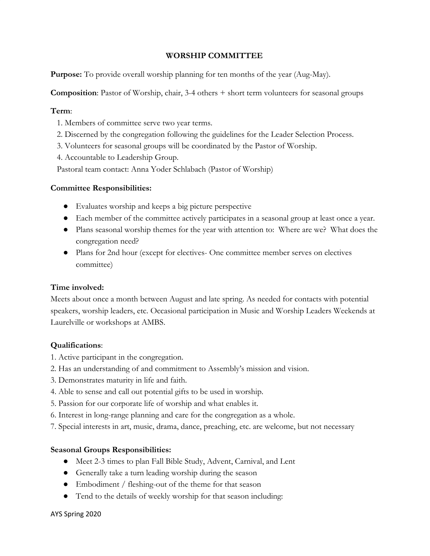# **WORSHIP COMMITTEE**

**Purpose:** To provide overall worship planning for ten months of the year (Aug-May).

**Composition**: Pastor of Worship, chair, 3-4 others + short term volunteers for seasonal groups

### **Term**:

- 1. Members of committee serve two year terms.
- 2. Discerned by the congregation following the guidelines for the Leader Selection Process.
- 3. Volunteers for seasonal groups will be coordinated by the Pastor of Worship.
- 4. Accountable to Leadership Group.
- Pastoral team contact: Anna Yoder Schlabach (Pastor of Worship)

### **Committee Responsibilities:**

- Evaluates worship and keeps a big picture perspective
- Each member of the committee actively participates in a seasonal group at least once a year.
- Plans seasonal worship themes for the year with attention to: Where are we? What does the congregation need?
- Plans for 2nd hour (except for electives- One committee member serves on electives committee)

# **Time involved:**

Meets about once a month between August and late spring. As needed for contacts with potential speakers, worship leaders, etc. Occasional participation in Music and Worship Leaders Weekends at Laurelville or workshops at AMBS.

# **Qualifications**:

- 1. Active participant in the congregation.
- 2. Has an understanding of and commitment to Assembly's mission and vision.
- 3. Demonstrates maturity in life and faith.
- 4. Able to sense and call out potential gifts to be used in worship.
- 5. Passion for our corporate life of worship and what enables it.
- 6. Interest in long-range planning and care for the congregation as a whole.
- 7. Special interests in art, music, drama, dance, preaching, etc. are welcome, but not necessary

# **Seasonal Groups Responsibilities:**

- *●* Meet 2-3 times to plan Fall Bible Study, Advent, Carnival, and Lent
- Generally take a turn leading worship during the season
- Embodiment / fleshing-out of the theme for that season
- Tend to the details of weekly worship for that season including: